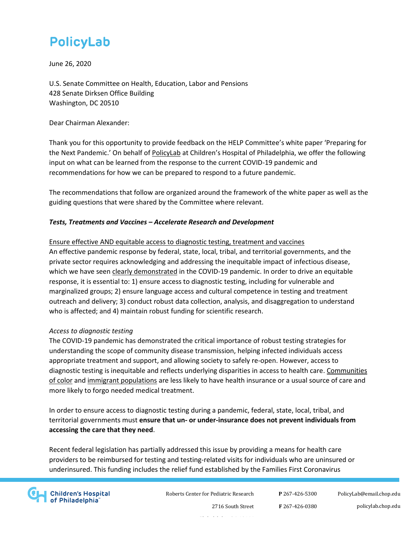June 26, 2020

U.S. Senate Committee on Health, Education, Labor and Pensions 428 Senate Dirksen Office Building Washington, DC 20510

Dear Chairman Alexander:

Thank you for this opportunity to provide feedback on the HELP Committee's white paper 'Preparing for the Next Pandemic.' On behalf of [PolicyLab](https://policylab.chop.edu/) at Children's Hospital of Philadelphia, we offer the following input on what can be learned from the response to the current COVID-19 pandemic and recommendations for how we can be prepared to respond to a future pandemic.

The recommendations that follow are organized around the framework of the white paper as well as the guiding questions that were shared by the Committee where relevant.

#### *Tests, Treatments and Vaccines – Accelerate Research and Development*

### Ensure effective AND equitable access to diagnostic testing, treatment and vaccines An effective pandemic response by federal, state, local, tribal, and territorial governments, and the private sector requires acknowledging and addressing the inequitable impact of infectious disease, which we have see[n clearly demonstrated](https://jamanetwork.com/journals/jama/fullarticle/2766098) in the COVID-19 pandemic. In order to drive an equitable response, it is essential to: 1) ensure access to diagnostic testing, including for vulnerable and marginalized groups; 2) ensure language access and cultural competence in testing and treatment outreach and delivery; 3) conduct robust data collection, analysis, and disaggregation to understand who is affected; and 4) maintain robust funding for scientific research.

#### *Access to diagnostic testing*

The COVID-19 pandemic has demonstrated the critical importance of robust testing strategies for understanding the scope of community disease transmission, helping infected individuals access appropriate treatment and support, and allowing society to safely re-open. However, access to diagnostic testing is inequitable and reflects underlying disparities in access to health care. Communities [of color](https://www.kff.org/coronavirus-covid-19/issue-brief/communities-of-color-at-higher-risk-for-health-and-economic-challenges-due-to-covid-19/) and [immigrant populations](https://www.kff.org/disparities-policy/issue-brief/health-coverage-and-care-of-undocumented-immigrants/) are less likely to have health insurance or a usual source of care and more likely to forgo needed medical treatment.

In order to ensure access to diagnostic testing during a pandemic, federal, state, local, tribal, and territorial governments must **ensure that un- or under-insurance does not prevent individuals from accessing the care that they need**.

Recent federal legislation has partially addressed this issue by providing a means for health care providers to be reimbursed for testing and testing-related visits for individuals who are uninsured or underinsured. This funding includes the relief fund established by the Families First Coronavirus



Roberts Center for Pediatric Research

**P** 267-426-5300 **F** 267-426-0380 [PolicyLab@email.chop.edu](mailto:PolicyLab@email.chop.edu) policylab.chop.edu

2716 South Street Philadelphia, PA 19146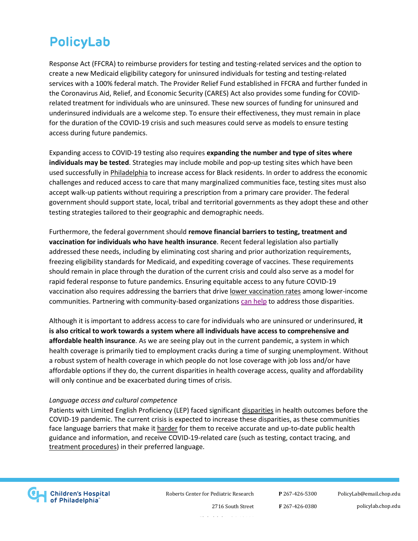Response Act (FFCRA) to reimburse providers for testing and testing-related services and the option to create a new Medicaid eligibility category for uninsured individuals for testing and testing-related services with a 100% federal match. The Provider Relief Fund established in FFCRA and further funded in the Coronavirus Aid, Relief, and Economic Security (CARES) Act also provides some funding for COVIDrelated treatment for individuals who are uninsured. These new sources of funding for uninsured and underinsured individuals are a welcome step. To ensure their effectiveness, they must remain in place for the duration of the COVID-19 crisis and such measures could serve as models to ensure testing access during future pandemics.

Expanding access to COVID-19 testing also requires **expanding the number and type of sites where individuals may be tested**. Strategies may include mobile and pop-up testing sites which have been used successfully i[n Philadelphia](https://www.nbcphiladelphia.com/news/local/black-doctors-consortium-gets-philly-grant-to-expand-testing/2425012/) to increase access for Black residents. In order to address the economic challenges and reduced access to care that many marginalized communities face, testing sites must also accept walk-up patients without requiring a prescription from a primary care provider. The federal government should support state, local, tribal and territorial governments as they adopt these and other testing strategies tailored to their geographic and demographic needs.

Furthermore, the federal government should **remove financial barriers to testing, treatment and vaccination for individuals who have health insurance**. Recent federal legislation also partially addressed these needs, including by eliminating cost sharing and prior authorization requirements, freezing eligibility standards for Medicaid, and expediting coverage of vaccines. These requirements should remain in place through the duration of the current crisis and could also serve as a model for rapid federal response to future pandemics. Ensuring equitable access to any future COVID-19 vaccination also requires addressing the barriers that drive [lower vaccination rates](https://www.npr.org/sections/health-shots/2019/05/20/724468630/the-other-reasons-kids-arent-getting-vaccinations-poverty-and-health-care-access) among lower-income communities. Partnering with community-based organizations [can help](https://pediatrics.aappublications.org/content/pediatrics/132/2/319.full.pdf) to address those disparities.

Although it is important to address access to care for individuals who are uninsured or underinsured, **it is also critical to work towards a system where all individuals have access to comprehensive and affordable health insurance**. As we are seeing play out in the current pandemic, a system in which health coverage is primarily tied to employment cracks during a time of surging unemployment. Without a robust system of health coverage in which people do not lose coverage with job loss and/or have affordable options if they do, the current disparities in health coverage access, quality and affordability will only continue and be exacerbated during times of crisis.

#### *Language access and cultural competence*

Patients with Limited English Proficiency (LEP) faced significan[t disparities](https://www.jointcommission.org/-/media/deprecated-unorganized/imported-assets/tjc/system-folders/joint-commission-online/quick_safety_issue_13_may_2015_embargoed_5_27_15pdf.pdf?db=web&hash=390D4DDA38EF28D1243CE53A9C274B1A) in health outcomes before the COVID-19 pandemic. The current crisis is expected to increase these disparities, as these communities face language barriers that make it [harder](https://www.healthaffairs.org/do/10.1377/hblog20200331.77927/full/) for them to receive accurate and up-to-date public health guidance and information, and receive COVID-19-related care (such as testing, contact tracing, and [treatment procedures\)](https://www.propublica.org/article/hospitals-have-left-many-covid19-patients-who-dont-speak-english-alone-confused-and-without-proper-care) in their preferred language.



Roberts Center for Pediatric Research

**P** 267-426-5300 **F** 267-426-0380 [PolicyLab@email.chop.edu](mailto:PolicyLab@email.chop.edu) policylab.chop.edu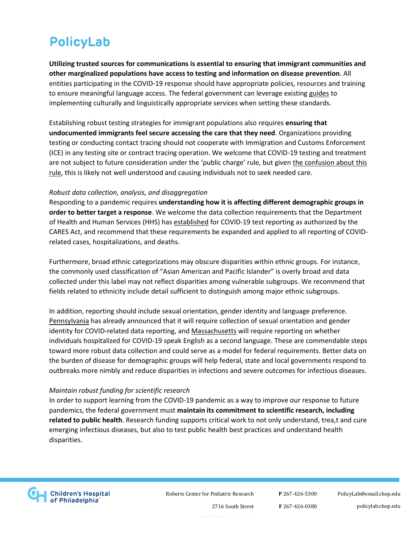**Utilizing trusted sources for communications is essential to ensuring that immigrant communities and other marginalized populations have access to testing and information on disease prevention**. All entities participating in the COVID-19 response should have appropriate policies, resources and training to ensure meaningful language access. The federal government can leverage existing [guides](https://www.cms.gov/About-CMS/Agency-Information/OMH/Downloads/CLAS-Toolkit-12-7-16.pdf) to implementing culturally and linguistically appropriate services when setting these standards.

Establishing robust testing strategies for immigrant populations also requires **ensuring that undocumented immigrants feel secure accessing the care that they need**. Organizations providing testing or conducting contact tracing should not cooperate with Immigration and Customs Enforcement (ICE) in any testing site or contract tracing operation. We welcome that COVID-19 testing and treatment are not subject to future consideration under the 'public charge' rule, but given [the confusion about this](https://www.urban.org/research/publication/one-five-adults-immigrant-families-children-reported-chilling-effects-public-benefit-receipt-2019)  [rule,](https://www.urban.org/research/publication/one-five-adults-immigrant-families-children-reported-chilling-effects-public-benefit-receipt-2019) this is likely not well understood and causing individuals not to seek needed care.

#### *Robust data collection, analysis, and disaggregation*

Responding to a pandemic requires **understanding how it is affecting different demographic groups in order to better target a response**. We welcome the data collection requirements that the Department of Health and Human Services (HHS) ha[s established](https://www.hhs.gov/about/news/2020/06/04/hhs-announces-new-laboratory-data-reporting-guidance-for-covid-19-testing.html) for COVID-19 test reporting as authorized by the CARES Act, and recommend that these requirements be expanded and applied to all reporting of COVIDrelated cases, hospitalizations, and deaths.

Furthermore, broad ethnic categorizations may obscure disparities within ethnic groups. For instance, the commonly used classification of "Asian American and Pacific Islander" is overly broad and data collected under this label may not reflect disparities among vulnerable subgroups. We recommend that fields related to ethnicity include detail sufficient to distinguish among major ethnic subgroups.

In addition, reporting should include sexual orientation, gender identity and language preference. [Pennsylvania](https://www.governor.pa.gov/newsroom/gov-wolf-announces-inclusion-of-gender-identity-sexual-orientation-or-expression-in-covid-19-data-collection/) has already announced that it will require collection of sexual orientation and gender identity for COVID-related data reporting, and [Massachusetts](https://malegislature.gov/Bills/191/H4672/BillHistory?pageNumber=2) will require reporting on whether individuals hospitalized for COVID-19 speak English as a second language. These are commendable steps toward more robust data collection and could serve as a model for federal requirements. Better data on the burden of disease for demographic groups will help federal, state and local governments respond to outbreaks more nimbly and reduce disparities in infections and severe outcomes for infectious diseases.

#### *Maintain robust funding for scientific research*

In order to support learning from the COVID-19 pandemic as a way to improve our response to future pandemics, the federal government must **maintain its commitment to scientific research, including related to public health**. Research funding supports critical work to not only understand, trea,t and cure emerging infectious diseases, but also to test public health best practices and understand health disparities.



Roberts Center for Pediatric Research

**P** 267-426-5300 **F** 267-426-0380

[PolicyLab@email.chop.edu](mailto:PolicyLab@email.chop.edu) policylab.chop.edu

Philadelphia, PA 19146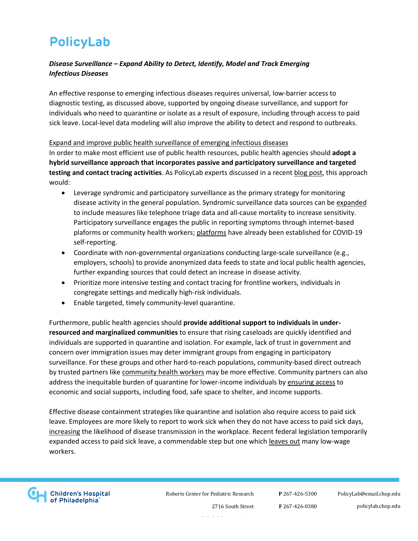### *Disease Surveillance – Expand Ability to Detect, Identify, Model and Track Emerging Infectious Diseases*

An effective response to emerging infectious diseases requires universal, low-barrier access to diagnostic testing, as discussed above, supported by ongoing disease surveillance, and support for individuals who need to quarantine or isolate as a result of exposure, including through access to paid sick leave. Local-level data modeling will also improve the ability to detect and respond to outbreaks.

Expand and improve public health surveillance of emerging infectious diseases In order to make most efficient use of public health resources, public health agencies should **adopt a hybrid surveillance approach that incorporates passive and participatory surveillance and targeted testing and contact tracing activities**. As PolicyLab experts discussed in a recent [blog post,](https://theincidentaleconomist.com/wordpress/a-precision-public-health-approach-to-preventing-the-next-covid-19-surge-its-time-to-talk-about-surveillance/) this approach would:

- Leverage syndromic and participatory surveillance as the primary strategy for monitoring disease activity in the general population. Syndromic surveillance data sources can be [expanded](https://policylab.chop.edu/policy_review_COVID_mitigation_following_community_reopening) to include measures like telephone triage data and all-cause mortality to increase sensitivity. Participatory surveillance engages the public in reporting symptoms through internet-based plaforms or community health workers; [platforms](https://www.covidnearyou.org/#!/) have already been established for COVID-19 self-reporting.
- Coordinate with non-governmental organizations conducting large-scale surveillance (e.g., employers, schools) to provide anonymized data feeds to state and local public health agencies, further expanding sources that could detect an increase in disease activity.
- Prioritize more intensive testing and contact tracing for frontline workers, individuals in congregate settings and medically high-risk individuals.
- Enable targeted, timely community-level quarantine.

Furthermore, public health agencies should **provide additional support to individuals in underresourced and marginalized communities** to ensure that rising caseloads are quickly identified and individuals are supported in quarantine and isolation. For example, lack of trust in government and concern over immigration issues may deter immigrant groups from engaging in participatory surveillance. For these groups and other hard-to-reach populations, community-based direct outreach by trusted partners lik[e community health workers](https://www.nashp.org/states-engage-community-health-workers-to-combat-covid-19-and-health-inequities/) may be more effective. Community partners can also address the inequitable burden of quarantine for lower-income individuals by [ensuring access](http://www.ihi.org/communities/blogs/why-states-may-fall-short-on-contact-tracing) to economic and social supports, including food, safe space to shelter, and income supports.

Effective disease containment strategies like quarantine and isolation also require access to paid sick leave. Employees are more likely to report to work sick when they do not have access to paid sick days, [increasing](https://ajph.aphapublications.org/doi/abs/10.2105/AJPH.2013.301269) the likelihood of disease transmission in the workplace. Recent federal legislation temporarily expanded access to paid sick leave, a commendable step but one which [leaves out](https://www.clasp.org/publications/fact-sheet/paid-sick-days-and-paid-leave-provisions-ffcra-and-cares-act) many low-wage workers.



Roberts Center for Pediatric Research

**P** 267-426-5300 **F** 267-426-0380 [PolicyLab@email.chop.edu](mailto:PolicyLab@email.chop.edu) policylab.chop.edu

Philadelphia, PA 19146